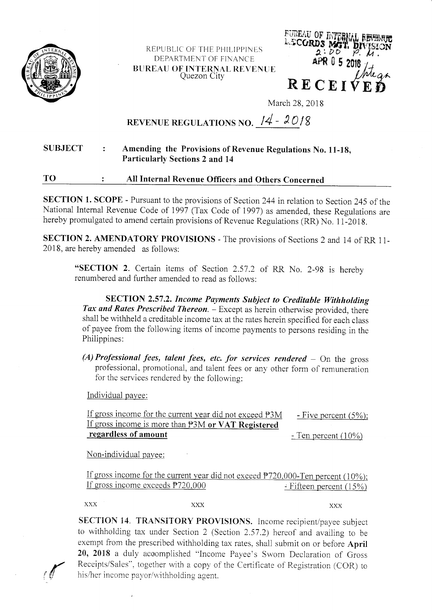

REPUBLIC OF THE PHILIPPINES DEPARTMENT OF FINANCE **BUREAU OF INTERNAL REVENUE** Quezon City



March 28, 2018

## REVENUE REGULATIONS NO.  $14 - 2018$

## **SUBJECT** Amending the Provisions of Revenue Regulations No. 11-18,  $\mathbf{r}$ **Particularly Sections 2 and 14**

## TO All Internal Revenue Officers and Others Concerned  $\ddot{\cdot}$

SECTION 1. SCOPE - Pursuant to the provisions of Section 244 in relation to Section 245 of the National Internal Revenue Code of 1997 (Tax Code of 1997) as amended, these Regulations are hereby promulgated to amend certain provisions of Revenue Regulations (RR) No. 11-2018.

SECTION 2. AMENDATORY PROVISIONS - The provisions of Sections 2 and 14 of RR 11-2018, are hereby amended as follows:

"SECTION 2. Certain items of Section 2.57.2 of RR No. 2-98 is hereby renumbered and further amended to read as follows:

SECTION 2.57.2. Income Payments Subject to Creditable Withholding Tax and Rates Prescribed Thereon. - Except as herein otherwise provided, there shall be withheld a creditable income tax at the rates herein specified for each class of payee from the following items of income payments to persons residing in the Philippines:

(A) Professional fees, talent fees, etc. for services rendered  $-$  On the gross professional, promotional, and talent fees or any other form of remuneration for the services rendered by the following:

Individual payee:

| If gross income for the current year did not exceed P3M | $-$ Five percent (5%);             |
|---------------------------------------------------------|------------------------------------|
| If gross income is more than P3M or VAT Registered      |                                    |
| regardless of amount                                    | $\overline{C}$ - Ten percent (10%) |

Non-individual payee:

If gross income for the current year did not exceed  $P720,000$ -Ten percent (10%); If gross income exceeds  $P720,000$  $\div$  Fifteen percent (15%)

**XXX XXX** 

**XXX** 

SECTION 14. TRANSITORY PROVISIONS. Income recipient/payee subject to withholding tax under Section 2 (Section 2.57.2) hereof and availing to be exempt from the prescribed withholding tax rates, shall submit on or before April 20, 2018 a duly accomplished "Income Payee's Sworn Declaration of Gross Receipts/Sales", together with a copy of the Certificate of Registration (COR) to his/her income payor/withholding agent.